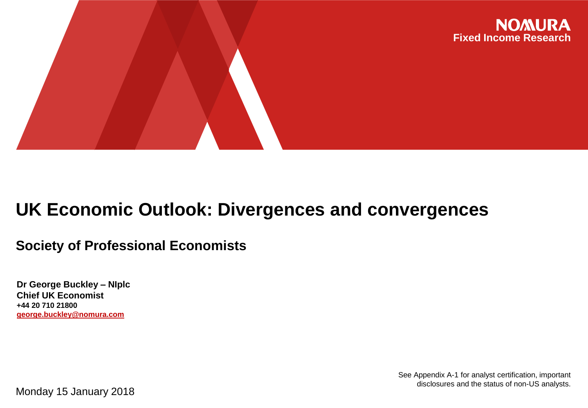

# **UK Economic Outlook: Divergences and convergences**

## **Society of Professional Economists**

**Dr George Buckley – NIplc Chief UK Economist +44 20 710 21800 george.buckley@nomura.com**

Monday 15 January 2018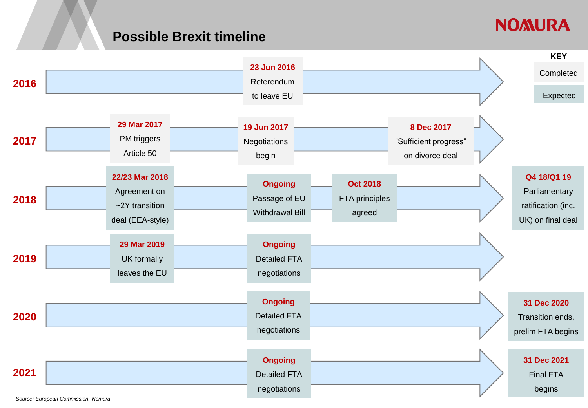### **Possible Brexit timeline**

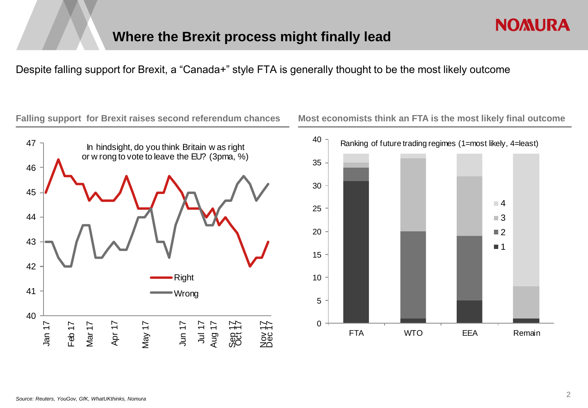Despite falling support for Brexit, a "Canada+" style FTA is generally thought to be the most likely outcome

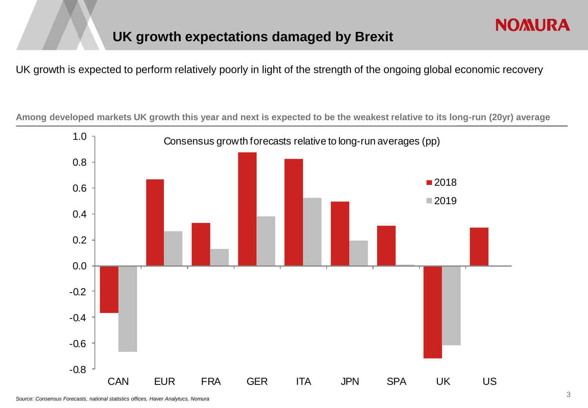## **UK growth expectations damaged by Brexit**

UK growth is expected to perform relatively poorly in light of the strength of the ongoing global economic recovery

**Among developed markets UK growth this year and next is expected to be the weakest relative to its long-run (20yr) average**

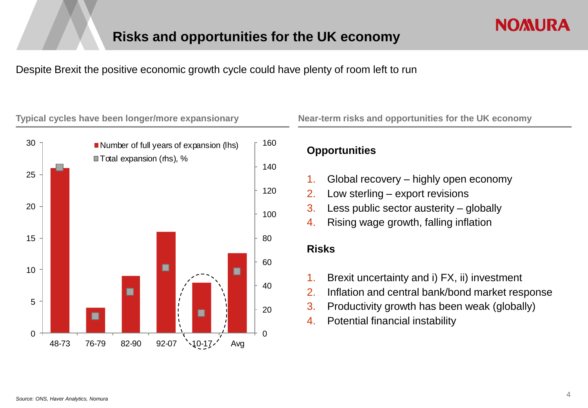Despite Brexit the positive economic growth cycle could have plenty of room left to run





### **Opportunities**

- 1. Global recovery highly open economy
- 2. Low sterling export revisions
- 3. Less public sector austerity globally
- 4. Rising wage growth, falling inflation

### **Risks**

- 1. Brexit uncertainty and i) FX, ii) investment
- 2. Inflation and central bank/bond market response
- 3. Productivity growth has been weak (globally)
- 4. Potential financial instability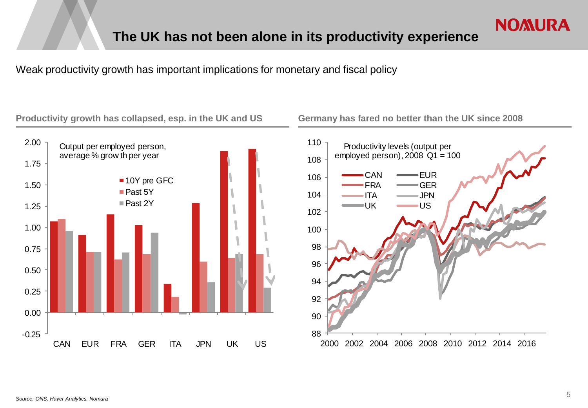Weak productivity growth has important implications for monetary and fiscal policy

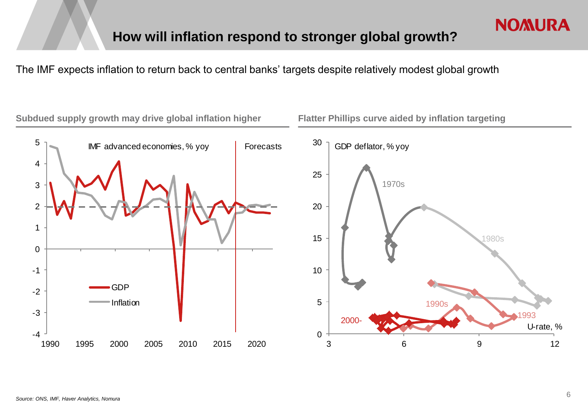The IMF expects inflation to return back to central banks' targets despite relatively modest global growth

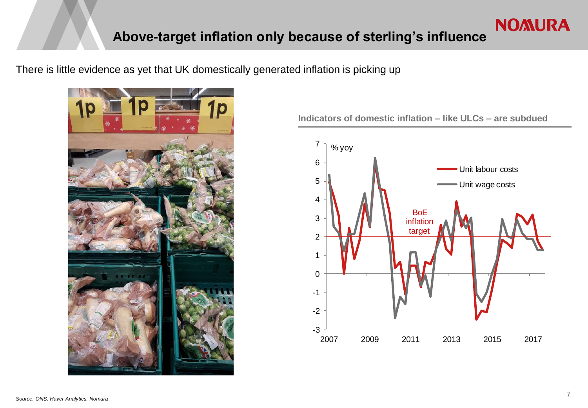## **Above-target inflation only because of sterling's influence**

There is little evidence as yet that UK domestically generated inflation is picking up



**Indicators of domestic inflation – like ULCs – are subdued**

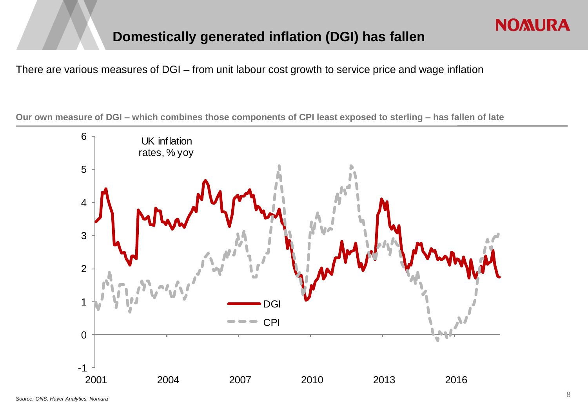## **Domestically generated inflation (DGI) has fallen**

There are various measures of DGI – from unit labour cost growth to service price and wage inflation

**Our own measure of DGI – which combines those components of CPI least exposed to sterling – has fallen of late**

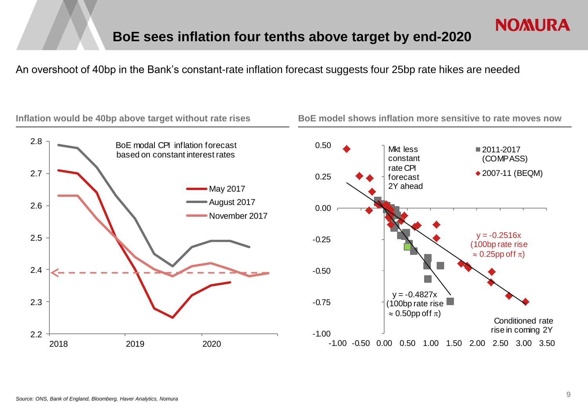An overshoot of 40bp in the Bank's constant-rate inflation forecast suggests four 25bp rate hikes are needed

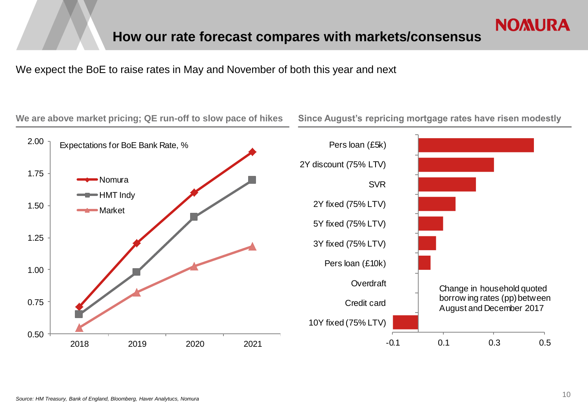We expect the BoE to raise rates in May and November of both this year and next

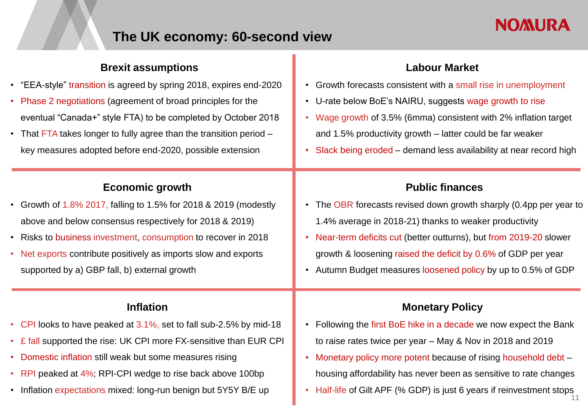# **NOMURA**

## **The UK economy: 60-second view**

## **Brexit assumptions** • "EEA-style" transition is agreed by spring 2018, expires end-2020 • Phase 2 negotiations (agreement of broad principles for the eventual "Canada+" style FTA) to be completed by October 2018 • That FTA takes longer to fully agree than the transition period – key measures adopted before end-2020, possible extension **Economic growth** • Growth of 1.8% 2017, falling to 1.5% for 2018 & 2019 (modestly above and below consensus respectively for 2018 & 2019) • Risks to business investment, consumption to recover in 2018 • Net exports contribute positively as imports slow and exports supported by a) GBP fall, b) external growth

### **Inflation**

- CPI looks to have peaked at 3.1%, set to fall sub-2.5% by mid-18
- £ fall supported the rise: UK CPI more FX-sensitive than EUR CPI
- Domestic inflation still weak but some measures rising
- RPI peaked at 4%; RPI-CPI wedge to rise back above 100bp
- Inflation expectations mixed: long-run benign but 5Y5Y B/E up

### **Labour Market**

- Growth forecasts consistent with a small rise in unemployment
- U-rate below BoE's NAIRU, suggests wage growth to rise
- Wage growth of 3.5% (6mma) consistent with 2% inflation target and 1.5% productivity growth – latter could be far weaker
- Slack being eroded demand less availability at near record high

### **Public finances**

- The OBR forecasts revised down growth sharply (0.4pp per year to 1.4% average in 2018-21) thanks to weaker productivity
- Near-term deficits cut (better outturns), but from 2019-20 slower growth & loosening raised the deficit by 0.6% of GDP per year
- Autumn Budget measures loosened policy by up to 0.5% of GDP

### **Monetary Policy**

- Following the first BoE hike in a decade we now expect the Bank to raise rates twice per year – May & Nov in 2018 and 2019
- Monetary policy more potent because of rising household debt housing affordability has never been as sensitive to rate changes
- Half-life of Gilt APF (% GDP) is just 6 years if reinvestment stops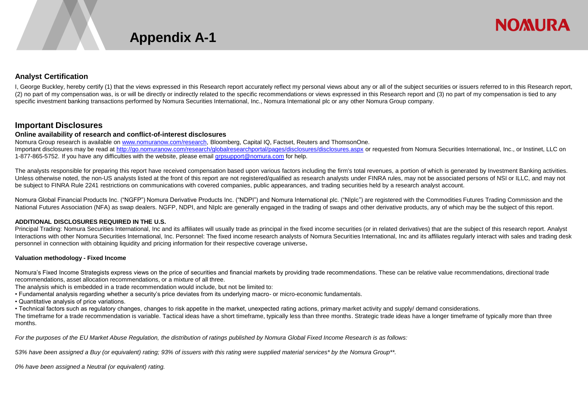

#### **Analyst Certification**

I, George Buckley, hereby certify (1) that the views expressed in this Research report accurately reflect my personal views about any or all of the subject securities or issuers referred to in this Research report, (2) no part of my compensation was, is or will be directly or indirectly related to the specific recommendations or views expressed in this Research report and (3) no part of my compensation is tied to any specific investment banking transactions performed by Nomura Securities International, Inc., Nomura International plc or any other Nomura Group company.

#### **Important Disclosures**

#### **Online availability of research and conflict-of-interest disclosures**

Nomura Group research is available on www.nomuranow.com/research, Bloomberg, Capital IQ, Factset, Reuters and ThomsonOne. Important disclosures may be read at http://go.nomuranow.com/research/globalresearchportal/pages/disclosures/disclosures.aspx or requested from Nomura Securities International, Inc., or Instinet, LLC on 1-877-865-5752. If you have any difficulties with the website, please email grosupport@nomura.com for help.

The analysts responsible for preparing this report have received compensation based upon various factors including the firm's total revenues, a portion of which is generated by Investment Banking activities. Unless otherwise noted, the non-US analysts listed at the front of this report are not registered/qualified as research analysts under FINRA rules, may not be associated persons of NSI or ILLC, and may not be subject to FINRA Rule 2241 restrictions on communications with covered companies, public appearances, and trading securities held by a research analyst account.

Nomura Global Financial Products Inc. ("NGFP") Nomura Derivative Products Inc. ("NDPI") and Nomura International plc. ("NIplc") are registered with the Commodities Futures Trading Commission and the National Futures Association (NFA) as swap dealers. NGFP, NDPI, and NIplc are generally engaged in the trading of swaps and other derivative products, any of which may be the subject of this report.

#### **ADDITIONAL DISCLOSURES REQUIRED IN THE U.S.**

Principal Trading: Nomura Securities International, Inc and its affiliates will usually trade as principal in the fixed income securities (or in related derivatives) that are the subject of this research report. Analyst Interactions with other Nomura Securities International, Inc. Personnel: The fixed income research analysts of Nomura Securities International, Inc and its affiliates regularly interact with sales and trading desk personnel in connection with obtaining liquidity and pricing information for their respective coverage universe**.** 

#### **Valuation methodology - Fixed Income**

Nomura's Fixed Income Strategists express views on the price of securities and financial markets by providing trade recommendations. These can be relative value recommendations, directional trade recommendations, asset allocation recommendations, or a mixture of all three.

The analysis which is embedded in a trade recommendation would include, but not be limited to:

• Fundamental analysis regarding whether a security's price deviates from its underlying macro- or micro-economic fundamentals.

• Quantitative analysis of price variations.

• Technical factors such as regulatory changes, changes to risk appetite in the market, unexpected rating actions, primary market activity and supply/ demand considerations.

The timeframe for a trade recommendation is variable. Tactical ideas have a short timeframe, typically less than three months. Strategic trade ideas have a longer timeframe of typically more than three months.

*For the purposes of the EU Market Abuse Regulation, the distribution of ratings published by Nomura Global Fixed Income Research is as follows:* 

*53% have been assigned a Buy (or equivalent) rating; 93% of issuers with this rating were supplied material services\* by the Nomura Group\*\*.* 

*0% have been assigned a Neutral (or equivalent) rating.*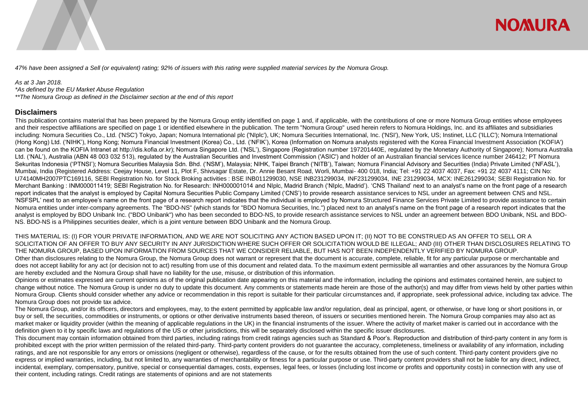

*47% have been assigned a Sell (or equivalent) rating; 92% of issuers with this rating were supplied material services by the Nomura Group.* 

#### *As at 3 Jan 2018.*

*\*As defined by the EU Market Abuse Regulation \*\*The Nomura Group as defined in the Disclaimer section at the end of this report*

#### **Disclaimers**

This publication contains material that has been prepared by the Nomura Group entity identified on page 1 and, if applicable, with the contributions of one or more Nomura Group entities whose employees and their respective affiliations are specified on page 1 or identified elsewhere in the publication. The term "Nomura Group" used herein refers to Nomura Holdings, Inc. and its affiliates and subsidiaries including: Nomura Securities Co., Ltd. ('NSC') Tokyo, Japan; Nomura International plc ('NIplc'), UK; Nomura Securities International, Inc. ('NSI'), New York, US; Instinet, LLC ('ILLC'); Nomura International (Hong Kong) Ltd. ('NIHK'), Hong Kong; Nomura Financial Investment (Korea) Co., Ltd. ('NFIK'), Korea (Information on Nomura analysts registered with the Korea Financial Investment Association ('KOFIA') can be found on the KOFIA Intranet at http://dis.kofia.or.kr); Nomura Singapore Ltd. ('NSL'), Singapore (Registration number 197201440E, regulated by the Monetary Authority of Singapore); Nomura Australia Ltd. ('NAL'), Australia (ABN 48 003 032 513), regulated by the Australian Securities and Investment Commission ('ASIC') and holder of an Australian financial services licence number 246412; PT Nomura Sekuritas Indonesia ('PTNSI'); Nomura Securities Malaysia Sdn. Bhd. ('NSM'), Malaysia; NIHK, Taipei Branch ('NITB'), Taiwan; Nomura Financial Advisory and Securities (India) Private Limited ('NFASL'), Mumbai, India (Registered Address: Ceejay House, Level 11, Plot F, Shivsagar Estate, Dr. Annie Besant Road, Worli, Mumbai- 400 018, India; Tel: +91 22 4037 4037, Fax: +91 22 4037 4111; CIN No: U74140MH2007PTC169116, SEBI Registration No. for Stock Broking activities : BSE INB011299030, NSE INB231299034, INF231299034, INE 231299034, MCX: INE261299034; SEBI Registration No. for Merchant Banking: INM000011419; SEBI Registration No. for Research: INH000001014 and NIplc, Madrid Branch ('NIplc, Madrid'). 'CNS Thailand' next to an analyst's name on the front page of a research report indicates that the analyst is employed by Capital Nomura Securities Public Company Limited ('CNS') to provide research assistance services to NSL under an agreement between CNS and NSL. 'NSFSPL' next to an employee's name on the front page of a research report indicates that the individual is employed by Nomura Structured Finance Services Private Limited to provide assistance to certain Nomura entities under inter-company agreements. The "BDO-NS" (which stands for "BDO Nomura Securities, Inc.") placed next to an analyst's name on the front page of a research report indicates that the analyst is employed by BDO Unibank Inc. ("BDO Unibank") who has been seconded to BDO-NS, to provide research assistance services to NSL under an agreement between BDO Unibank, NSL and BDO-NS. BDO-NS is a Philippines securities dealer, which is a joint venture between BDO Unibank and the Nomura Group.

THIS MATERIAL IS: (I) FOR YOUR PRIVATE INFORMATION, AND WE ARE NOT SOLICITING ANY ACTION BASED UPON IT; (II) NOT TO BE CONSTRUED AS AN OFFER TO SELL OR A SOLICITATION OF AN OFFER TO BUY ANY SECURITY IN ANY JURISDICTION WHERE SUCH OFFER OR SOLICITATION WOULD BE ILLEGAL; AND (III) OTHER THAN DISCLOSURES RELATING TO THE NOMURA GROUP, BASED UPON INFORMATION FROM SOURCES THAT WE CONSIDER RELIABLE, BUT HAS NOT BEEN INDEPENDENTLY VERIFIED BY NOMURA GROUP. Other than disclosures relating to the Nomura Group, the Nomura Group does not warrant or represent that the document is accurate, complete, reliable, fit for any particular purpose or merchantable and does not accept liability for any act (or decision not to act) resulting from use of this document and related data. To the maximum extent permissible all warranties and other assurances by the Nomura Group are hereby excluded and the Nomura Group shall have no liability for the use, misuse, or distribution of this information.

Opinions or estimates expressed are current opinions as of the original publication date appearing on this material and the information, including the opinions and estimates contained herein, are subject to change without notice. The Nomura Group is under no duty to update this document. Any comments or statements made herein are those of the author(s) and may differ from views held by other parties within Nomura Group. Clients should consider whether any advice or recommendation in this report is suitable for their particular circumstances and, if appropriate, seek professional advice, including tax advice. The Nomura Group does not provide tax advice.

The Nomura Group, and/or its officers, directors and employees, may, to the extent permitted by applicable law and/or regulation, deal as principal, agent, or otherwise, or have long or short positions in, or buy or sell, the securities, commodities or instruments, or options or other derivative instruments based thereon, of issuers or securities mentioned herein. The Nomura Group companies may also act as market maker or liquidity provider (within the meaning of applicable regulations in the UK) in the financial instruments of the issuer. Where the activity of market maker is carried out in accordance with the definition given to it by specific laws and regulations of the US or other jurisdictions, this will be separately disclosed within the specific issuer disclosures.

This document may contain information obtained from third parties, including ratings from credit ratings agencies such as Standard & Poor's. Reproduction and distribution of third-party content in any form is prohibited except with the prior written permission of the related third-party. Third-party content providers do not quarantee the accuracy, completeness, timeliness or availability of any information, including ratings, and are not responsible for any errors or omissions (negligent or otherwise), regardless of the cause, or for the results obtained from the use of such content. Third-party content providers give no express or implied warranties, including, but not limited to, any warranties of merchantability or fitness for a particular purpose or use. Third-party content providers shall not be liable for any direct, indirect, incidental, exemplary, compensatory, punitive, special or consequential damages, costs, expenses, legal fees, or losses (including lost income or profits and opportunity costs) in connection with any use of their content, including ratings. Credit ratings are statements of opinions and are not statements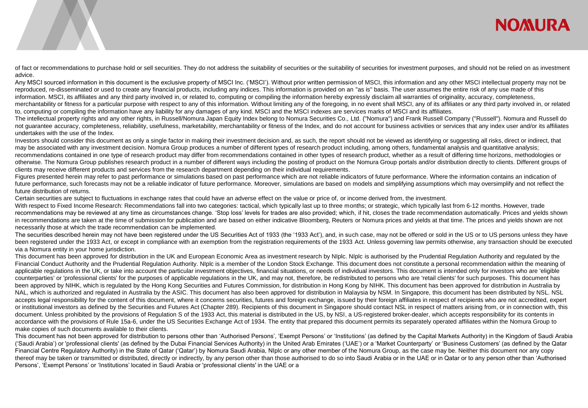## **NOMURA**

of fact or recommendations to purchase hold or sell securities. They do not address the suitability of securities or the suitability of securities for investment purposes, and should not be relied on as investment advice.

Any MSCI sourced information in this document is the exclusive property of MSCI Inc. ('MSCI'). Without prior written permission of MSCI, this information and any other MSCI intellectual property may not be reproduced, re-disseminated or used to create any financial products, including any indices. This information is provided on an "as is" basis. The user assumes the entire risk of any use made of this information. MSCI, its affiliates and any third party involved in, or related to, computing or compiling the information hereby expressly disclaim all warranties of originality, accuracy, completeness,

merchantability or fitness for a particular purpose with respect to any of this information. Without limiting any of the foregoing, in no event shall MSCI, any of its affiliates or any third party involved in, or related to, computing or compiling the information have any liability for any damages of any kind. MSCI and the MSCI indexes are services marks of MSCI and its affiliates.

The intellectual property rights and any other rights, in Russell/Nomura Japan Equity Index belong to Nomura Securities Co., Ltd. ("Nomura") and Frank Russell Company ("Russell"). Nomura and Russell do not guarantee accuracy, completeness, reliability, usefulness, marketability, merchantability or fitness of the Index, and do not account for business activities or services that any index user and/or its affiliates undertakes with the use of the Index.

Investors should consider this document as only a single factor in making their investment decision and, as such, the report should not be viewed as identifying or suggesting all risks, direct or indirect, that may be associated with any investment decision. Nomura Group produces a number of different types of research product including, among others, fundamental analysis and quantitative analysis; recommendations contained in one type of research product may differ from recommendations contained in other types of research product, whether as a result of differing time horizons, methodologies or otherwise. The Nomura Group publishes research product in a number of different ways including the posting of product on the Nomura Group portals and/or distribution directly to clients. Different groups of clients may receive different products and services from the research department depending on their individual requirements.

Figures presented herein may refer to past performance or simulations based on past performance which are not reliable indicators of future performance. Where the information contains an indication of future performance, such forecasts may not be a reliable indicator of future performance. Moreover, simulations are based on models and simplifying assumptions which may oversimplify and not reflect the future distribution of returns.

Certain securities are subject to fluctuations in exchange rates that could have an adverse effect on the value or price of, or income derived from, the investment.

With respect to Fixed Income Research: Recommendations fall into two categories: tactical, which typically last up to three months; or strategic, which typically last from 6-12 months. However, trade recommendations may be reviewed at any time as circumstances change. 'Stop loss' levels for trades are also provided; which, if hit, closes the trade recommendation automatically. Prices and yields shown in recommendations are taken at the time of submission for publication and are based on either indicative Bloomberg, Reuters or Nomura prices and yields at that time. The prices and yields shown are not necessarily those at which the trade recommendation can be implemented.

The securities described herein may not have been registered under the US Securities Act of 1933 (the '1933 Act'), and, in such case, may not be offered or sold in the US or to US persons unless they have been registered under the 1933 Act, or except in compliance with an exemption from the registration requirements of the 1933 Act. Unless governing law permits otherwise, any transaction should be executed via a Nomura entity in your home jurisdiction.

This document has been approved for distribution in the UK and European Economic Area as investment research by NIplc. NIplc is authorised by the Prudential Regulation Authority and regulated by the Financial Conduct Authority and the Prudential Regulation Authority. NIplc is a member of the London Stock Exchange. This document does not constitute a personal recommendation within the meaning of applicable regulations in the UK, or take into account the particular investment objectives, financial situations, or needs of individual investors. This document is intended only for investors who are 'eligible counterparties' or 'professional clients' for the purposes of applicable regulations in the UK, and may not, therefore, be redistributed to persons who are 'retail clients' for such purposes. This document has been approved by NIHK, which is regulated by the Hong Kong Securities and Futures Commission, for distribution in Hong Kong by NIHK. This document has been approved for distribution in Australia by NAL, which is authorized and regulated in Australia by the ASIC. This document has also been approved for distribution in Malaysia by NSM. In Singapore, this document has been distributed by NSL. NSL accepts legal responsibility for the content of this document, where it concerns securities, futures and foreign exchange, issued by their foreign affiliates in respect of recipients who are not accredited, expert or institutional investors as defined by the Securities and Futures Act (Chapter 289). Recipients of this document in Singapore should contact NSL in respect of matters arising from, or in connection with, this document. Unless prohibited by the provisions of Regulation S of the 1933 Act, this material is distributed in the US, by NSI, a US-registered broker-dealer, which accepts responsibility for its contents in accordance with the provisions of Rule 15a-6, under the US Securities Exchange Act of 1934. The entity that prepared this document permits its separately operated affiliates within the Nomura Group to make copies of such documents available to their clients.

This document has not been approved for distribution to persons other than 'Authorised Persons', 'Exempt Persons' or 'Institutions' (as defined by the Capital Markets Authority) in the Kingdom of Saudi Arabia ('Saudi Arabia') or 'professional clients' (as defined by the Dubai Financial Services Authority) in the United Arab Emirates ('UAE') or a 'Market Counterparty' or 'Business Customers' (as defined by the Qatar Financial Centre Regulatory Authority) in the State of Qatar ('Qatar') by Nomura Saudi Arabia, NIplc or any other member of the Nomura Group, as the case may be. Neither this document nor any copy thereof may be taken or transmitted or distributed, directly or indirectly, by any person other than those authorised to do so into Saudi Arabia or in the UAE or in Qatar or to any person other than 'Authorised Persons', 'Exempt Persons' or 'Institutions' located in Saudi Arabia or 'professional clients' in the UAE or a